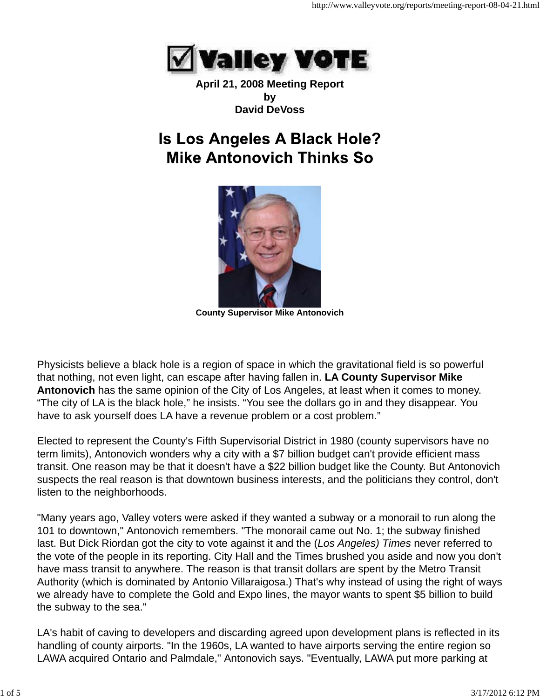

**April 21, 2008 Meeting Report by David DeVoss**

# **Is Los Angeles A Black Hole? Mike Antonovich Thinks So**



**County Supervisor Mike Antonovich**

Physicists believe a black hole is a region of space in which the gravitational field is so powerful that nothing, not even light, can escape after having fallen in. **LA County Supervisor Mike Antonovich** has the same opinion of the City of Los Angeles, at least when it comes to money. "The city of LA is the black hole," he insists. "You see the dollars go in and they disappear. You have to ask yourself does LA have a revenue problem or a cost problem."

Elected to represent the County's Fifth Supervisorial District in 1980 (county supervisors have no term limits), Antonovich wonders why a city with a \$7 billion budget can't provide efficient mass transit. One reason may be that it doesn't have a \$22 billion budget like the County. But Antonovich suspects the real reason is that downtown business interests, and the politicians they control, don't listen to the neighborhoods.

"Many years ago, Valley voters were asked if they wanted a subway or a monorail to run along the 101 to downtown," Antonovich remembers. "The monorail came out No. 1; the subway finished last. But Dick Riordan got the city to vote against it and the (*Los Angeles) Times* never referred to the vote of the people in its reporting. City Hall and the Times brushed you aside and now you don't have mass transit to anywhere. The reason is that transit dollars are spent by the Metro Transit Authority (which is dominated by Antonio Villaraigosa.) That's why instead of using the right of ways we already have to complete the Gold and Expo lines, the mayor wants to spent \$5 billion to build the subway to the sea."

LA's habit of caving to developers and discarding agreed upon development plans is reflected in its handling of county airports. "In the 1960s, LA wanted to have airports serving the entire region so LAWA acquired Ontario and Palmdale," Antonovich says. "Eventually, LAWA put more parking at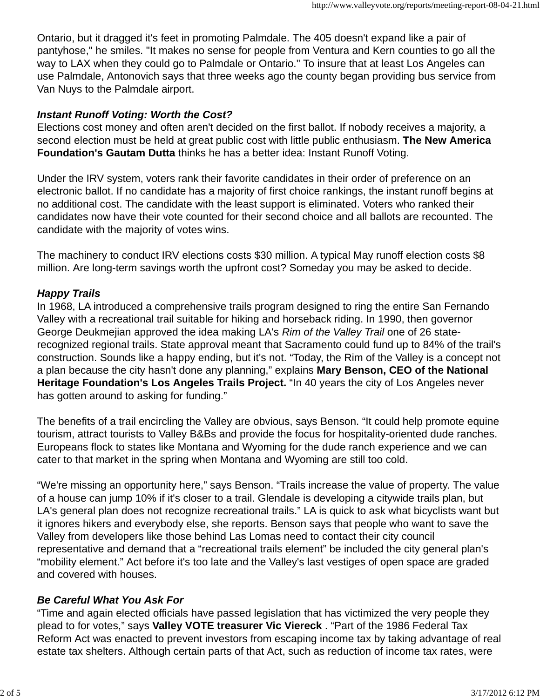Ontario, but it dragged it's feet in promoting Palmdale. The 405 doesn't expand like a pair of pantyhose," he smiles. "It makes no sense for people from Ventura and Kern counties to go all the way to LAX when they could go to Palmdale or Ontario." To insure that at least Los Angeles can use Palmdale, Antonovich says that three weeks ago the county began providing bus service from Van Nuys to the Palmdale airport.

# *Instant Runoff Voting: Worth the Cost?*

Elections cost money and often aren't decided on the first ballot. If nobody receives a majority, a second election must be held at great public cost with little public enthusiasm. **The New America Foundation's Gautam Dutta** thinks he has a better idea: Instant Runoff Voting.

Under the IRV system, voters rank their favorite candidates in their order of preference on an electronic ballot. If no candidate has a majority of first choice rankings, the instant runoff begins at no additional cost. The candidate with the least support is eliminated. Voters who ranked their candidates now have their vote counted for their second choice and all ballots are recounted. The candidate with the majority of votes wins.

The machinery to conduct IRV elections costs \$30 million. A typical May runoff election costs \$8 million. Are long-term savings worth the upfront cost? Someday you may be asked to decide.

# *Happy Trails*

In 1968, LA introduced a comprehensive trails program designed to ring the entire San Fernando Valley with a recreational trail suitable for hiking and horseback riding. In 1990, then governor George Deukmejian approved the idea making LA's *Rim of the Valley Trail* one of 26 staterecognized regional trails. State approval meant that Sacramento could fund up to 84% of the trail's construction. Sounds like a happy ending, but it's not. "Today, the Rim of the Valley is a concept not a plan because the city hasn't done any planning," explains **Mary Benson, CEO of the National Heritage Foundation's Los Angeles Trails Project.** "In 40 years the city of Los Angeles never has gotten around to asking for funding."

The benefits of a trail encircling the Valley are obvious, says Benson. "It could help promote equine tourism, attract tourists to Valley B&Bs and provide the focus for hospitality-oriented dude ranches. Europeans flock to states like Montana and Wyoming for the dude ranch experience and we can cater to that market in the spring when Montana and Wyoming are still too cold.

"We're missing an opportunity here," says Benson. "Trails increase the value of property. The value of a house can jump 10% if it's closer to a trail. Glendale is developing a citywide trails plan, but LA's general plan does not recognize recreational trails." LA is quick to ask what bicyclists want but it ignores hikers and everybody else, she reports. Benson says that people who want to save the Valley from developers like those behind Las Lomas need to contact their city council representative and demand that a "recreational trails element" be included the city general plan's "mobility element." Act before it's too late and the Valley's last vestiges of open space are graded and covered with houses.

# *Be Careful What You Ask For*

"Time and again elected officials have passed legislation that has victimized the very people they plead to for votes," says **Valley VOTE treasurer Vic Viereck** . "Part of the 1986 Federal Tax Reform Act was enacted to prevent investors from escaping income tax by taking advantage of real estate tax shelters. Although certain parts of that Act, such as reduction of income tax rates, were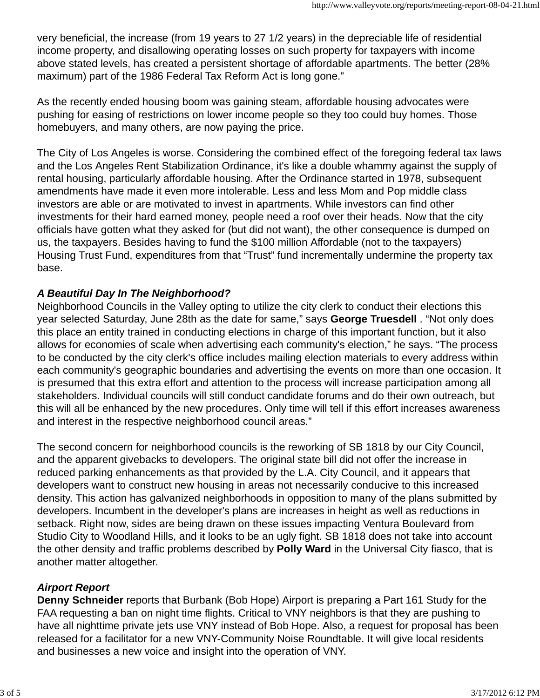very beneficial, the increase (from 19 years to 27 1/2 years) in the depreciable life of residential income property, and disallowing operating losses on such property for taxpayers with income above stated levels, has created a persistent shortage of affordable apartments. The better (28% maximum) part of the 1986 Federal Tax Reform Act is long gone."

As the recently ended housing boom was gaining steam, affordable housing advocates were pushing for easing of restrictions on lower income people so they too could buy homes. Those homebuyers, and many others, are now paying the price.

The City of Los Angeles is worse. Considering the combined effect of the foregoing federal tax laws and the Los Angeles Rent Stabilization Ordinance, it's like a double whammy against the supply of rental housing, particularly affordable housing. After the Ordinance started in 1978, subsequent amendments have made it even more intolerable. Less and less Mom and Pop middle class investors are able or are motivated to invest in apartments. While investors can find other investments for their hard earned money, people need a roof over their heads. Now that the city officials have gotten what they asked for (but did not want), the other consequence is dumped on us, the taxpayers. Besides having to fund the \$100 million Affordable (not to the taxpayers) Housing Trust Fund, expenditures from that "Trust" fund incrementally undermine the property tax base.

#### *A Beautiful Day In The Neighborhood?*

Neighborhood Councils in the Valley opting to utilize the city clerk to conduct their elections this year selected Saturday, June 28th as the date for same," says **George Truesdell** . "Not only does this place an entity trained in conducting elections in charge of this important function, but it also allows for economies of scale when advertising each community's election," he says. "The process to be conducted by the city clerk's office includes mailing election materials to every address within each community's geographic boundaries and advertising the events on more than one occasion. It is presumed that this extra effort and attention to the process will increase participation among all stakeholders. Individual councils will still conduct candidate forums and do their own outreach, but this will all be enhanced by the new procedures. Only time will tell if this effort increases awareness and interest in the respective neighborhood council areas."

The second concern for neighborhood councils is the reworking of SB 1818 by our City Council, and the apparent givebacks to developers. The original state bill did not offer the increase in reduced parking enhancements as that provided by the L.A. City Council, and it appears that developers want to construct new housing in areas not necessarily conducive to this increased density. This action has galvanized neighborhoods in opposition to many of the plans submitted by developers. Incumbent in the developer's plans are increases in height as well as reductions in setback. Right now, sides are being drawn on these issues impacting Ventura Boulevard from Studio City to Woodland Hills, and it looks to be an ugly fight. SB 1818 does not take into account the other density and traffic problems described by **Polly Ward** in the Universal City fiasco, that is another matter altogether.

#### *Airport Report*

**Denny Schneider** reports that Burbank (Bob Hope) Airport is preparing a Part 161 Study for the FAA requesting a ban on night time flights. Critical to VNY neighbors is that they are pushing to have all nighttime private jets use VNY instead of Bob Hope. Also, a request for proposal has been released for a facilitator for a new VNY-Community Noise Roundtable. It will give local residents and businesses a new voice and insight into the operation of VNY.